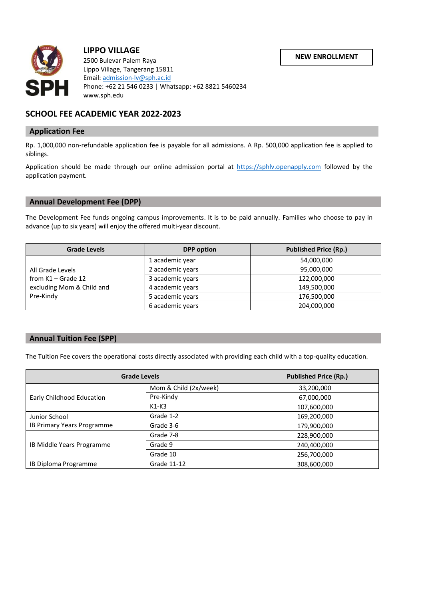**NEW ENROLLMENT**



# **LIPPO VILLAGE**

 2500 Bulevar Palem Raya Lippo Village, Tangerang 15811 Email: [admission-lv@sph.ac.id](mailto:admission-lv@sph.ac.id) Phone: +62 21 546 0233 | Whatsapp: +62 8821 5460234 www.sph.edu

## **SCHOOL FEE ACADEMIC YEAR 2022-2023**

### **Application Fee**

Rp. 1,000,000 non-refundable application fee is payable for all admissions. A Rp. 500,000 application fee is applied to siblings.

Application should be made through our online admission portal at [https://sphlv.openapply.com](https://sphlv.openapply.com/) followed by the application payment.

### **Annual Development Fee (DPP)**

The Development Fee funds ongoing campus improvements. It is to be paid annually. Families who choose to pay in advance (up to six years) will enjoy the offered multi-year discount.

| <b>Grade Levels</b>                                                                | <b>DPP</b> option | <b>Published Price (Rp.)</b> |
|------------------------------------------------------------------------------------|-------------------|------------------------------|
| All Grade Levels<br>from $K1 -$ Grade 12<br>excluding Mom & Child and<br>Pre-Kindy | 1 academic year   | 54,000,000                   |
|                                                                                    | 2 academic years  | 95,000,000                   |
|                                                                                    | 3 academic years  | 122,000,000                  |
|                                                                                    | 4 academic years  | 149,500,000                  |
|                                                                                    | 5 academic years  | 176,500,000                  |
|                                                                                    | 6 academic years  | 204,000,000                  |

### **Annual Tuition Fee (SPP)**

The Tuition Fee covers the operational costs directly associated with providing each child with a top-quality education.

| <b>Grade Levels</b>        |                       | <b>Published Price (Rp.)</b> |
|----------------------------|-----------------------|------------------------------|
| Early Childhood Education  | Mom & Child (2x/week) | 33,200,000                   |
|                            | Pre-Kindy             | 67,000,000                   |
|                            | $K1-K3$               | 107,600,000                  |
| Junior School              | Grade 1-2             | 169,200,000                  |
| IB Primary Years Programme | Grade 3-6             | 179,900,000                  |
| IB Middle Years Programme  | Grade 7-8             | 228,900,000                  |
|                            | Grade 9               | 240,400,000                  |
|                            | Grade 10              | 256,700,000                  |
| IB Diploma Programme       | Grade 11-12           | 308,600,000                  |